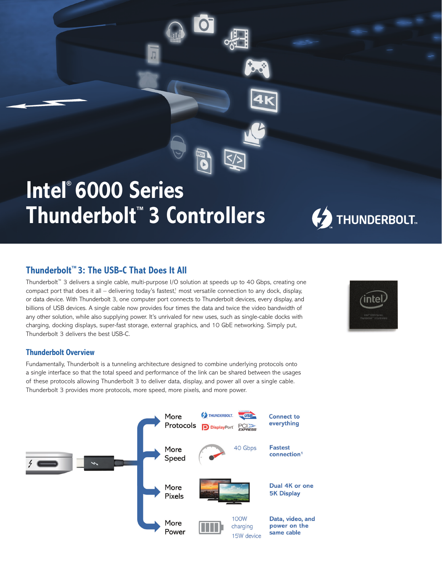# **Intel® 6000 Series Thunderbolt™ 3 Controllers**

### **Thunderbolt™ 3: The USB-C That Does It All**

Thunderbolt™ 3 delivers a single cable, multi-purpose I/O solution at speeds up to 40 Gbps, creating one compact port that does it all – delivering today's fastest, $1$  most versatile connection to any dock, display, or data device. With Thunderbolt 3, one computer port connects to Thunderbolt devices, every display, and billions of USB devices. A single cable now provides four times the data and twice the video bandwidth of any other solution, while also supplying power. It's unrivaled for new uses, such as single-cable docks with charging, docking displays, super-fast storage, external graphics, and 10 GbE networking. Simply put, Thunderbolt 3 delivers the best USB-C.

#### **Thunderbolt Overview**

Fundamentally, Thunderbolt is a tunneling architecture designed to combine underlying protocols onto a single interface so that the total speed and performance of the link can be shared between the usages of these protocols allowing Thunderbolt 3 to deliver data, display, and power all over a single cable. Thunderbolt 3 provides more protocols, more speed, more pixels, and more power.





**THUNDERBOLT.**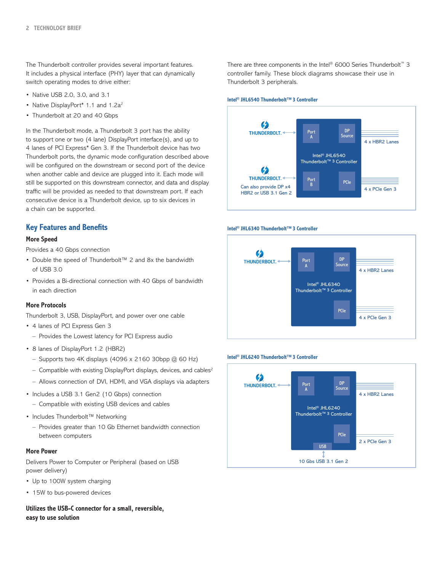The Thunderbolt controller provides several important features. It includes a physical interface (PHY) layer that can dynamically switch operating modes to drive either:

- Native USB 2.0, 3.0, and 3.1
- Native DisplayPort\* 1.1 and 1.2a<sup>2</sup>
- Thunderbolt at 20 and 40 Gbps

In the Thunderbolt mode, a Thunderbolt 3 port has the ability to support one or two (4 lane) DisplayPort interface(s), and up to 4 lanes of PCI Express\* Gen 3. If the Thunderbolt device has two Thunderbolt ports, the dynamic mode configuration described above will be configured on the downstream or second port of the device when another cable and device are plugged into it. Each mode will still be supported on this downstream connector, and data and display traffic will be provided as needed to that downstream port. If each consecutive device is a Thunderbolt device, up to six devices in a chain can be supported.

#### **Key Features and Benefits**

#### **More Speed**

Provides a 40 Gbps connection

- Double the speed of Thunderbolt™ 2 and 8x the bandwidth of USB 3.0
- Provides a Bi-directional connection with 40 Gbps of bandwidth in each direction

#### **More Protocols**

Thunderbolt 3, USB, DisplayPort, and power over one cable

- 4 lanes of PCI Express Gen 3
	- Provides the Lowest latency for PCI Express audio
- 8 lanes of DisplayPort 1.2 (HBR2)
	- $-$  Supports two 4K displays (4096 x 2160 30bpp  $@$  60 Hz)
	- $-$  Compatible with existing DisplayPort displays, devices, and cables<sup>2</sup>
	- Allows connection of DVI, HDMI, and VGA displays via adapters
- Includes a USB 3.1 Gen2 (10 Gbps) connection – Compatible with existing USB devices and cables
- Includes Thunderbolt™ Networking
	- Provides greater than 10 Gb Ethernet bandwidth connection between computers

#### **More Power**

Delivers Power to Computer or Peripheral (based on USB power delivery)

- Up to 100W system charging
- 15W to bus-powered devices

**Utilizes the USB-C connector for a small, reversible, easy to use solution**

There are three components in the Intel® 6000 Series Thunderbolt™ 3 controller family. These block diagrams showcase their use in Thunderbolt 3 peripherals.

#### **Intel® JHL6540 Thunderbolt™3 Controller**



#### **Intel® JHL6340 Thunderbolt™3 Controller**



#### **Intel® JHL6240 Thunderbolt™3 Controller**

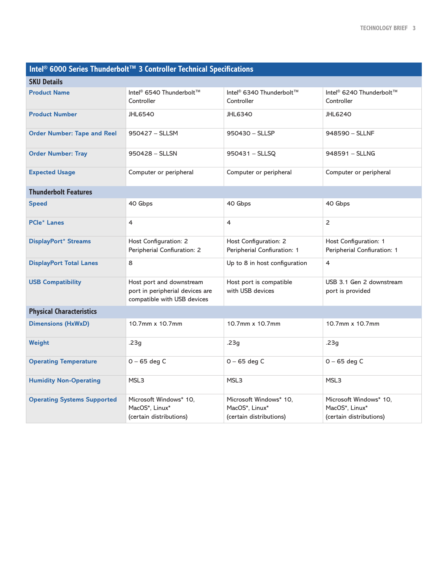| Intel <sup>®</sup> 6000 Series Thunderbolt™ 3 Controller Technical Specifications |                                                                                            |                                                                     |                                                                     |
|-----------------------------------------------------------------------------------|--------------------------------------------------------------------------------------------|---------------------------------------------------------------------|---------------------------------------------------------------------|
| <b>SKU Details</b>                                                                |                                                                                            |                                                                     |                                                                     |
| <b>Product Name</b>                                                               | Intel <sup>®</sup> 6540 Thunderbolt™<br>Controller                                         | Intel <sup>®</sup> 6340 Thunderbolt™<br>Controller                  | Intel <sup>®</sup> 6240 Thunderbolt™<br>Controller                  |
| <b>Product Number</b>                                                             | <b>JHL6540</b>                                                                             | <b>JHL6340</b>                                                      | <b>JHL6240</b>                                                      |
| <b>Order Number: Tape and Reel</b>                                                | 950427 - SLLSM                                                                             | 950430 - SLLSP                                                      | 948590 - SLLNF                                                      |
| <b>Order Number: Tray</b>                                                         | 950428 - SLLSN                                                                             | 950431 - SLLSQ                                                      | 948591 - SLLNG                                                      |
| <b>Expected Usage</b>                                                             | Computer or peripheral                                                                     | Computer or peripheral                                              | Computer or peripheral                                              |
| <b>Thunderbolt Features</b>                                                       |                                                                                            |                                                                     |                                                                     |
| <b>Speed</b>                                                                      | 40 Gbps                                                                                    | 40 Gbps                                                             | 40 Gbps                                                             |
| <b>PCle* Lanes</b>                                                                | $\overline{4}$                                                                             | 4                                                                   | $\overline{2}$                                                      |
| DisplayPort* Streams                                                              | Host Configuration: 2<br>Peripherial Confiuration: 2                                       | Host Configuration: 2<br>Peripherial Confiuration: 1                | Host Configuration: 1<br>Peripherial Confiuration: 1                |
| <b>DisplayPort Total Lanes</b>                                                    | 8                                                                                          | Up to 8 in host configuration                                       | $\overline{4}$                                                      |
| <b>USB Compatibility</b>                                                          | Host port and downstream<br>port in peripherial devices are<br>compatible with USB devices | Host port is compatible<br>with USB devices                         | USB 3.1 Gen 2 downstream<br>port is provided                        |
| <b>Physical Characteristics</b>                                                   |                                                                                            |                                                                     |                                                                     |
| <b>Dimensions (HxWxD)</b>                                                         | 10.7mm x 10.7mm                                                                            | 10.7mm x 10.7mm                                                     | 10.7mm x 10.7mm                                                     |
| Weight                                                                            | .23g                                                                                       | .23g                                                                | .23g                                                                |
| <b>Operating Temperature</b>                                                      | $0 - 65$ deg C                                                                             | $0 - 65$ deg C                                                      | $0 - 65$ deg C                                                      |
| <b>Humidity Non-Operating</b>                                                     | MSL3                                                                                       | MSL3                                                                | MSL3                                                                |
| <b>Operating Systems Supported</b>                                                | Microsoft Windows* 10.<br>MacOS*, Linux*<br>(certain distributions)                        | Microsoft Windows* 10,<br>MacOS*, Linux*<br>(certain distributions) | Microsoft Windows* 10.<br>MacOS*, Linux*<br>(certain distributions) |